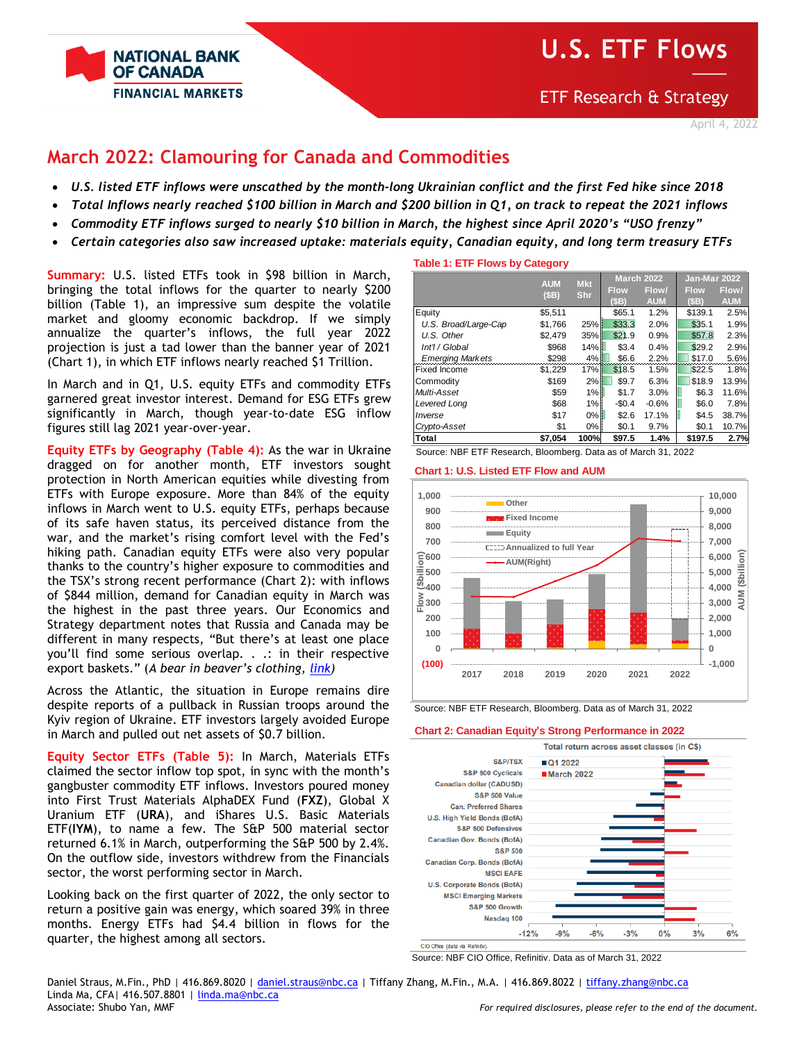

# **U.S. ETF Flows**

# **March 2022: Clamouring for Canada and Commodities**

- *U.S. listed ETF inflows were unscathed by the month-long Ukrainian conflict and the first Fed hike since 2018*
- *Total Inflows nearly reached \$100 billion in March and \$200 billion in Q1, on track to repeat the 2021 inflows*
- *Commodity ETF inflows surged to nearly \$10 billion in March, the highest since April 2020's "USO frenzy"*
- *Certain categories also saw increased uptake: materials equity, Canadian equity, and long term treasury ETFs*

**Summary:** U.S. listed ETFs took in \$98 billion in March, bringing the total inflows for the quarter to nearly \$200 billion (Table 1), an impressive sum despite the volatile market and gloomy economic backdrop. If we simply annualize the quarter's inflows, the full year 2022 projection is just a tad lower than the banner year of 2021 (Chart 1), in which ETF inflows nearly reached \$1 Trillion.

In March and in Q1, U.S. equity ETFs and commodity ETFs garnered great investor interest. Demand for ESG ETFs grew significantly in March, though year-to-date ESG inflow figures still lag 2021 year-over-year.

**Equity ETFs by Geography (Table 4):** As the war in Ukraine dragged on for another month, ETF investors sought protection in North American equities while divesting from ETFs with Europe exposure. More than 84% of the equity inflows in March went to U.S. equity ETFs, perhaps because of its safe haven status, its perceived distance from the war, and the market's rising comfort level with the Fed's hiking path. Canadian equity ETFs were also very popular thanks to the country's higher exposure to commodities and the TSX's strong recent performance (Chart 2): with inflows of \$844 million, demand for Canadian equity in March was the highest in the past three years. Our Economics and Strategy department notes that Russia and Canada may be different in many respects, "But there's at least one place you'll find some serious overlap. . .: in their respective export baskets." (*A bear in beaver's clothing, [link\)](https://nbf.bluematrix.com/sellside/EmailDocViewer?encrypt=30b86434-a358-4b08-8e91-a9403a886d51&mime=pdf&co=nbf&id=stefane.marion@nbc.ca&source=mail)*

Across the Atlantic, the situation in Europe remains dire despite reports of a pullback in Russian troops around the Kyiv region of Ukraine. ETF investors largely avoided Europe in March and pulled out net assets of \$0.7 billion.

**Equity Sector ETFs (Table 5):** In March, Materials ETFs claimed the sector inflow top spot, in sync with the month's gangbuster commodity ETF inflows. Investors poured money into First Trust Materials AlphaDEX Fund (**FXZ**), Global X Uranium ETF (**URA**), and iShares U.S. Basic Materials ETF(**IYM**), to name a few. The S&P 500 material sector returned 6.1% in March, outperforming the S&P 500 by 2.4%. On the outflow side, investors withdrew from the Financials sector, the worst performing sector in March.

Looking back on the first quarter of 2022, the only sector to return a positive gain was energy, which soared 39% in three months. Energy ETFs had \$4.4 billion in flows for the quarter, the highest among all sectors.

**Table 1: ETF Flows by Category**

|                                                                | <b>AUM</b> | <b>Mkt</b> | <b>March 2022</b> |            | Jan-Mar 2022 |            |  |  |  |  |
|----------------------------------------------------------------|------------|------------|-------------------|------------|--------------|------------|--|--|--|--|
|                                                                | (SB)       | Shr        | <b>Flow</b>       | Flow/      | <b>Flow</b>  | Flow/      |  |  |  |  |
|                                                                |            |            | (SB)              | <b>AUM</b> | (SB)         | <b>AUM</b> |  |  |  |  |
| Equity                                                         | \$5,511    |            | \$65.1            | 1.2%       | \$139.1      | 2.5%       |  |  |  |  |
| U.S. Broad/Large-Cap                                           | \$1.766    | 25%        | \$33.3            | 2.0%       | \$35.1       | 1.9%       |  |  |  |  |
| U.S. Other                                                     | \$2.479    | 35%        | \$21.9            | 0.9%       | \$57.8       | 2.3%       |  |  |  |  |
| Int'l / Global                                                 | \$968      | 14%        | \$3.4             | 0.4%       | \$29.2       | 2.9%       |  |  |  |  |
| <b>Emerging Markets</b>                                        | \$298      | 4%         | \$6.6             | 2.2%       | \$17.0       | 5.6%       |  |  |  |  |
| <b>Fixed Income</b>                                            | \$1,229    | 17%        | \$18.5            | 1.5%       | \$22.5       | 1.8%       |  |  |  |  |
| Commodity                                                      | \$169      | 2%         | \$9.7             | 6.3%       | \$18.9       | 13.9%      |  |  |  |  |
| Multi-Asset                                                    | \$59       | 1%         | \$1.7             | 3.0%       | \$6.3        | 11.6%      |  |  |  |  |
| Levered Long                                                   | \$68       | 1%         | $-$0.4$           | $-0.6%$    | \$6.0        | 7.8%       |  |  |  |  |
| Inverse                                                        | \$17       | $0\%$      | \$2.6             | 17.1%      | \$4.5        | 38.7%      |  |  |  |  |
| Crypto-Asset                                                   | \$1        | 0%         | \$0.1             | 9.7%       | \$0.1        | 10.7%      |  |  |  |  |
| Total                                                          | \$7.054    | 100%       | \$97.5            | 1.4%       | \$197.5      | 2.7%       |  |  |  |  |
| Source: NBF ETF Research. Bloomberg. Data as of March 31, 2022 |            |            |                   |            |              |            |  |  |  |  |



Source: NBF ETF Research, Bloomberg. Data as of March 31, 2022

**Chart 2: Canadian Equity's Strong Performance in 2022**



CIO Office (data via Refinitiv)

Source: NBF CIO Office, Refinitiv. Data as of March 31, 2022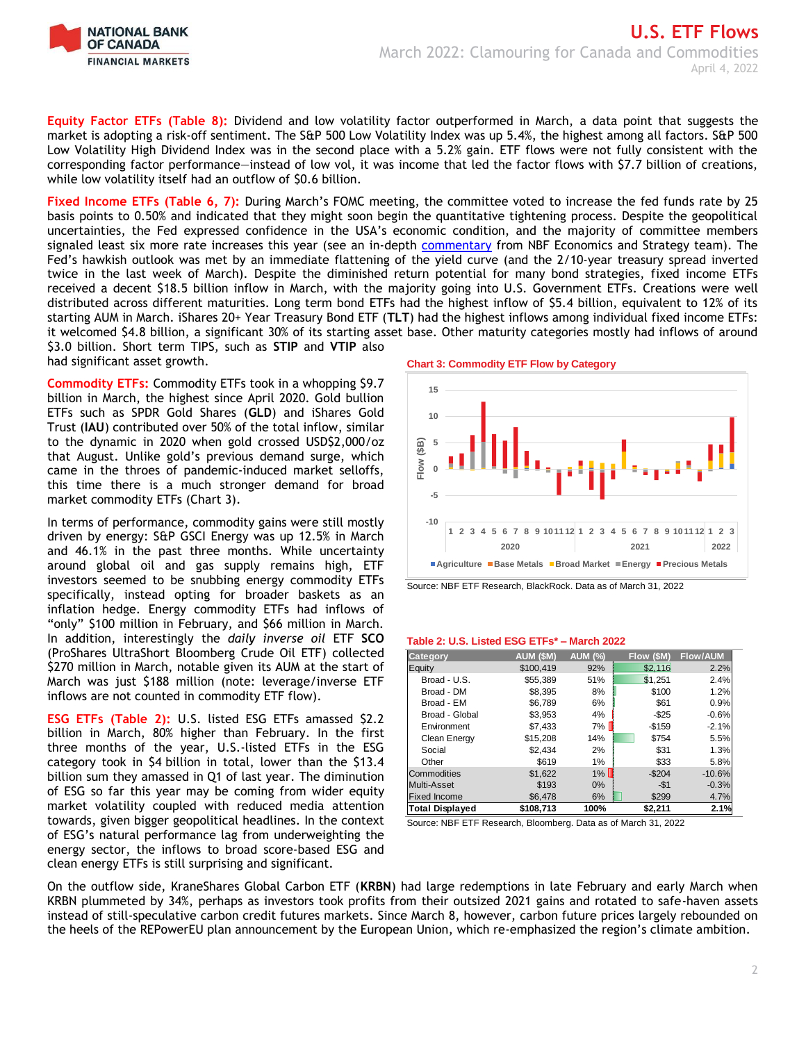

**Equity Factor ETFs (Table 8):** Dividend and low volatility factor outperformed in March, a data point that suggests the market is adopting a risk-off sentiment. The S&P 500 Low Volatility Index was up 5.4%, the highest among all factors. S&P 500 Low Volatility High Dividend Index was in the second place with a 5.2% gain. ETF flows were not fully consistent with the corresponding factor performance—instead of low vol, it was income that led the factor flows with \$7.7 billion of creations, while low volatility itself had an outflow of \$0.6 billion.

**Fixed Income ETFs (Table 6, 7):** During March's FOMC meeting, the committee voted to increase the fed funds rate by 25 basis points to 0.50% and indicated that they might soon begin the quantitative tightening process. Despite the geopolitical uncertainties, the Fed expressed confidence in the USA's economic condition, and the majority of committee members signaled least six more rate increases this year (see an in-depth [commentary](https://www.nbc.ca/content/dam/bnc/en/rates-and-analysis/economic-analysis/fed-policy-monitor.pdf) from NBF Economics and Strategy team). The Fed's hawkish outlook was met by an immediate flattening of the yield curve (and the 2/10-year treasury spread inverted twice in the last week of March). Despite the diminished return potential for many bond strategies, fixed income ETFs received a decent \$18.5 billion inflow in March, with the majority going into U.S. Government ETFs. Creations were well distributed across different maturities. Long term bond ETFs had the highest inflow of \$5.4 billion, equivalent to 12% of its starting AUM in March. iShares 20+ Year Treasury Bond ETF (**TLT**) had the highest inflows among individual fixed income ETFs: it welcomed \$4.8 billion, a significant 30% of its starting asset base. Other maturity categories mostly had inflows of around \$3.0 billion. Short term TIPS, such as **STIP** and **VTIP** also had significant asset growth.

**Commodity ETFs:** Commodity ETFs took in a whopping \$9.7 billion in March, the highest since April 2020. Gold bullion ETFs such as SPDR Gold Shares (**GLD**) and iShares Gold Trust (**IAU**) contributed over 50% of the total inflow, similar to the dynamic in 2020 when gold crossed USD\$2,000/oz that August. Unlike gold's previous demand surge, which came in the throes of pandemic-induced market selloffs, this time there is a much stronger demand for broad market commodity ETFs (Chart 3).

In terms of performance, commodity gains were still mostly driven by energy: S&P GSCI Energy was up 12.5% in March and 46.1% in the past three months. While uncertainty around global oil and gas supply remains high, ETF investors seemed to be snubbing energy commodity ETFs specifically, instead opting for broader baskets as an inflation hedge. Energy commodity ETFs had inflows of "only" \$100 million in February, and \$66 million in March. In addition, interestingly the *daily inverse oil* ETF **SCO** (ProShares UltraShort Bloomberg Crude Oil ETF) collected \$270 million in March, notable given its AUM at the start of March was just \$188 million (note: leverage/inverse ETF inflows are not counted in commodity ETF flow).

**ESG ETFs (Table 2):** U.S. listed ESG ETFs amassed \$2.2 billion in March, 80% higher than February. In the first three months of the year, U.S.-listed ETFs in the ESG category took in \$4 billion in total, lower than the \$13.4 billion sum they amassed in Q1 of last year. The diminution of ESG so far this year may be coming from wider equity market volatility coupled with reduced media attention towards, given bigger geopolitical headlines. In the context of ESG's natural performance lag from underweighting the energy sector, the inflows to broad score-based ESG and clean energy ETFs is still surprising and significant.





#### **Table 2: U.S. Listed ESG ETFs\* – March 2022**

| Category               | <b>AUM (\$M)</b> | <b>AUM (%)</b> | Flow (\$M) | <b>Flow/AUM</b> |
|------------------------|------------------|----------------|------------|-----------------|
| Equity                 | \$100.419        | 92%            | \$2,116    | 2.2%            |
| Broad - U.S.           | \$55,389         | 51%            | \$1,251    | 2.4%            |
| Broad - DM             | \$8.395          | 8%             | \$100      | 1.2%            |
| Broad - EM             | \$6.789          | 6%             | \$61       | 0.9%            |
| Broad - Global         | \$3.953          | 4%             | $-$ \$25   | $-0.6%$         |
| Environment            | \$7,433          | 7%             | $-$159$    | $-2.1%$         |
| Clean Energy           | \$15,208         | 14%            | \$754      | 5.5%            |
| Social                 | \$2.434          | 2%             | \$31       | 1.3%            |
| Other                  | \$619            | 1%             | \$33       | 5.8%            |
| Commodities            | \$1,622          | $1\%$          | $-$204$    | $-10.6%$        |
| Multi-Asset            | \$193            | $0\%$          | $-51$      | $-0.3%$         |
| <b>Fixed Income</b>    | \$6.478          | 6%             | \$299      | 4.7%            |
| <b>Total Displayed</b> | \$108.713        | 100%           | \$2.211    | 2.1%            |

Source: NBF ETF Research, Bloomberg. Data as of March 31, 2022

On the outflow side, KraneShares Global Carbon ETF (**KRBN**) had large redemptions in late February and early March when KRBN plummeted by 34%, perhaps as investors took profits from their outsized 2021 gains and rotated to safe-haven assets instead of still-speculative carbon credit futures markets. Since March 8, however, carbon future prices largely rebounded on the heels of the REPowerEU plan announcement by the European Union, which re-emphasized the region's climate ambition.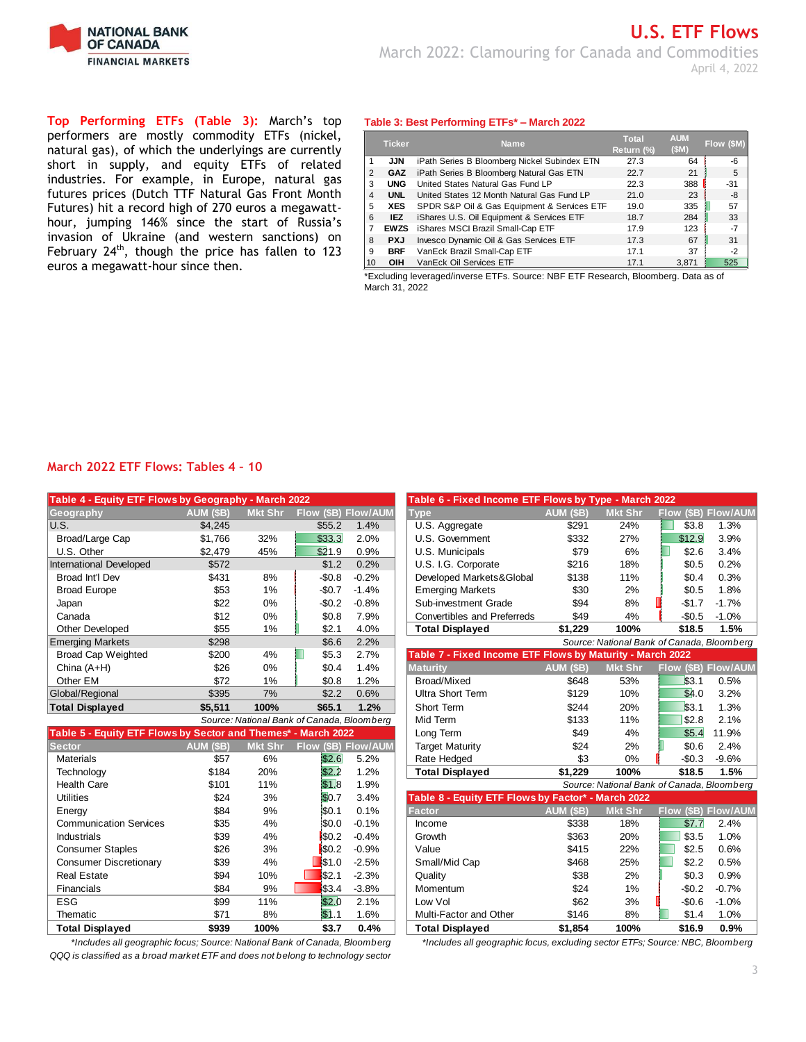

**Top Performing ETFs (Table 3):** March's top performers are mostly commodity ETFs (nickel, natural gas), of which the underlyings are currently short in supply, and equity ETFs of related industries. For example, in Europe, natural gas futures prices (Dutch TTF Natural Gas Front Month Futures) hit a record high of 270 euros a megawatthour, jumping 146% since the start of Russia's invasion of Ukraine (and western sanctions) on February  $24^{th}$ , though the price has fallen to 123 euros a megawatt-hour since then.

### **Table 3: Best Performing ETFs\* – March 2022**

|    | <b>Ticker</b> | <b>Name</b>                                  | Total      | <b>AUM</b> | <b>Flow (SM</b> |
|----|---------------|----------------------------------------------|------------|------------|-----------------|
|    |               |                                              | Return (%) | (SM)       |                 |
|    | <b>JJN</b>    | iPath Series B Bloomberg Nickel Subindex ETN | 27.3       | 64         | -6              |
| 2  | <b>GAZ</b>    | iPath Series B Bloomberg Natural Gas ETN     | 22.7       | 21         | 5               |
| 3  | <b>UNG</b>    | United States Natural Gas Fund LP            | 22.3       | 388        | $-31$           |
| 4  | <b>UNL</b>    | United States 12 Month Natural Gas Fund LP   | 21.0       | 23         | -8              |
| 5  | <b>XES</b>    | SPDR S&P Oil & Gas Equipment & Services ETF  | 19.0       | 335        | 57              |
| 6  | <b>IEZ</b>    | iShares U.S. Oil Equipment & Services ETF    | 18.7       | 284        | 33              |
| 7  | <b>EWZS</b>   | iShares MSCI Brazil Small-Cap ETF            | 17.9       | 123        | -7              |
| 8  | <b>PXJ</b>    | Invesco Dynamic Oil & Gas Services ETF       | 17.3       | 67         | 31              |
| 9  | <b>BRF</b>    | VanEck Brazil Small-Cap ETF                  | 17.1       | 37         | $-2$            |
| 10 | <b>OIH</b>    | VanEck Oil Services ETF                      | 17.1       | 3,871      | 525             |

\*Excluding leveraged/inverse ETFs. Source: NBF ETF Research, Bloomberg. Data as of March 31, 2022

### **March 2022 ETF Flows: Tables 4 – 10**

| Table 4 - Equity ETF Flows by Geography - March 2022 |           |                |                     |         | Table 6 - Fixed Income ETF Flows by Type - March 2022     |           |                                          |               |                |
|------------------------------------------------------|-----------|----------------|---------------------|---------|-----------------------------------------------------------|-----------|------------------------------------------|---------------|----------------|
| Geography                                            | AUM (\$B) | <b>Mkt Shr</b> | Flow (\$B) Flow/AUM |         | <b>Type</b>                                               | AUM (\$B) | <b>Mkt Shr</b>                           | Flow (\$B)    | <b>Flow/AL</b> |
| IU.S.                                                | \$4.245   |                | \$55.2              | 1.4%    | U.S. Aggregate                                            | \$291     | 24%                                      | \$3.8         | $1.3\%$        |
| Broad/Large Cap                                      | \$1,766   | 32%            | \$33.3              | 2.0%    | U.S. Government                                           | \$332     | 27%                                      | \$12.9        | 3.9%           |
| U.S. Other                                           | \$2,479   | 45%            | \$21.9              | 0.9%    | U.S. Municipals                                           | \$79      | 6%                                       | \$2.6         | 3.4%           |
| <b>International Developed</b>                       | \$572     |                | \$1.2               | 0.2%    | U.S. I.G. Corporate                                       | \$216     | 18%                                      | \$0.5         | 0.2%           |
| Broad Int'l Dev                                      | \$431     | 8%             | $-$0.8$             | $-0.2%$ | Developed Markets&Global                                  | \$138     | 11%                                      | \$0.4         | 0.3%           |
| <b>Broad Europe</b>                                  | \$53      | 1%             | $-$0.7$             | $-1.4%$ | <b>Emerging Markets</b>                                   | \$30      | 2%                                       | \$0.5         | 1.8%           |
| Japan                                                | \$22      | 0%             | $-$0.2$             | $-0.8%$ | Sub-investment Grade                                      | \$94      | 8%                                       | -\$1.7        | $-1.7%$        |
| Canada                                               | \$12      | 0%             | \$0.8               | 7.9%    | <b>Convertibles and Preferreds</b>                        | \$49      | 4%                                       | $-$0.5$       | $-1.0%$        |
| <b>Other Developed</b>                               | \$55      | 1%             | \$2.1               | 4.0%    | <b>Total Displayed</b>                                    | \$1,229   | 100%                                     | \$18.5        | 1.5%           |
| <b>Emerging Markets</b>                              | \$298     |                | \$6.6               | 2.2%    |                                                           |           | Source: National Bank of Canada, Bloombe |               |                |
| <b>Broad Cap Weighted</b>                            | \$200     | 4%             | \$5.3               | 2.7%    | Table 7 - Fixed Income ETF Flows by Maturity - March 2022 |           |                                          |               |                |
| China $(A+H)$                                        | \$26      | $0\%$          | \$0.4               | 1.4%    | <b>Maturity</b>                                           | AUM (\$B) | <b>Mkt Shr</b>                           | Flow (SB)     | <b>Flow/AL</b> |
| Other EM                                             | \$72      | $1\%$          | \$0.8               | .2%     | Broad/Mixed                                               | \$648     | 53%                                      | \$3.1         | 0.5%           |
| Global/Regional                                      | \$395     | 7%             | \$2.2               | 0.6%    | Ultra Short Term                                          | \$129     | 10%                                      | \$4.0         | 3.2%           |
| <b>Total Displayed</b>                               | \$5,511   | 100%           | \$65.1              | 1.2%    | Short Term                                                | \$244     | 20%                                      | \$3.1         | 1.3%           |
|                                                      |           |                |                     |         |                                                           |           | 1.01                                     | $\sim$ $\sim$ | $\sim$ $\sim$  |

|                                                               |           |                | Source: National Bank of Canada, Bloomberg |                            | iviid Territ                                       | ১। ৩৩            | 170                                      | DZ.O     | Z. 170             |
|---------------------------------------------------------------|-----------|----------------|--------------------------------------------|----------------------------|----------------------------------------------------|------------------|------------------------------------------|----------|--------------------|
| Table 5 - Equity ETF Flows by Sector and Themes* - March 2022 |           |                |                                            |                            | Long Term                                          | \$49             | 4%                                       | \$5.4    | 11.9%              |
| <b>Sector</b>                                                 | AUM (\$B) | <b>Mkt Shr</b> |                                            | <b>Flow (\$B) Flow/AUM</b> | <b>Target Maturity</b>                             | \$24             | 2%                                       | \$0.6    | 2.4%               |
| <b>Materials</b>                                              | \$57      | 6%             | \$2.6                                      | 5.2%                       | Rate Hedged                                        | \$3              | $0\%$                                    | $-$0.3$  | $-9.6%$            |
| Technology                                                    | \$184     | 20%            | 152.2                                      | 1.2%                       | <b>Total Displayed</b>                             | \$1,229          | 100%                                     | \$18.5   | 1.5%               |
| <b>Health Care</b>                                            | \$101     | 11%            | \$1.8                                      | 1.9%                       |                                                    |                  | Source: National Bank of Canada, Bloombe |          |                    |
| <b>Utilities</b>                                              | \$24      | 3%             | \$0.7                                      | 3.4%                       | Table 8 - Equity ETF Flows by Factor* - March 2022 |                  |                                          |          |                    |
| Energy                                                        | \$84      | 9%             | \$0.1                                      | 0.1%                       | <b>Factor</b>                                      | <b>AUM (\$B)</b> | <b>Mkt Shr</b>                           |          | Flow (\$B) Flow/Al |
| <b>Communication Services</b>                                 | \$35      | 4%             | \$0.0                                      | $-0.1%$                    | Income                                             | \$338            | 18%                                      | \$7.7    | 2.4%               |
| <b>Industrials</b>                                            | \$39      | 4%             | \$0.2                                      | $-0.4%$                    | Growth                                             | \$363            | 20%                                      | \$3.5    | 1.0%               |
| <b>Consumer Staples</b>                                       | \$26      | 3%             | \$0.2                                      | $-0.9%$                    | Value                                              | \$415            | 22%                                      | \$2.5    | 0.6%               |
| <b>Consumer Discretionary</b>                                 | \$39      | 4%             | $\sqrt{31.0}$                              | $-2.5%$                    | Small/Mid Cap                                      | \$468            | 25%                                      | \$2.2    | 0.5%               |
| <b>Real Estate</b>                                            | \$94      | 10%            | \$32.1                                     | $-2.3%$                    | Quality                                            | \$38             | 2%                                       | \$0.3    | 0.9%               |
| Financials                                                    | \$84      | 9%             | \$3.4                                      | $-3.8%$                    | Momentum                                           | \$24             | $1\%$                                    | $-50.2$  | $-0.7%$            |
| <b>ESG</b>                                                    | \$99      | 11%            | \$2.0                                      | 2.1%                       | Low Vol                                            | \$62             | 3%                                       | $-\$0.6$ | $-1.0%$            |
| Thematic                                                      | \$71      | 8%             | 151.1                                      | .6%                        | Multi-Factor and Other                             | \$146            | 8%                                       | \$1.4    | 1.0%               |
| <b>Total Displayed</b>                                        | \$939     | 100%           | \$3.7                                      | 0.4%                       | <b>Total Displayed</b>                             | \$1,854          | 100%                                     | \$16.9   | 0.9%               |

*QQQ is classified as a broad market ETF and does not belong to technology sector*

| Table 4 - Equity ETF Flows by Geography - March 2022          |                  |                |                                            |                     | Table 6 - Fixed Income ETF Flows by Type - March 2022     |                  |                |                                            |                     |
|---------------------------------------------------------------|------------------|----------------|--------------------------------------------|---------------------|-----------------------------------------------------------|------------------|----------------|--------------------------------------------|---------------------|
| Geography                                                     | AUM (\$B)        | <b>Mkt Shr</b> |                                            | Flow (\$B) Flow/AUM | <b>Type</b>                                               | AUM (\$B)        | <b>Mkt Shr</b> | Flow (\$B)                                 | <b>Flow/AUM</b>     |
| U.S.                                                          | \$4,245          |                | \$55.2                                     | 1.4%                | U.S. Aggregate                                            | \$291            | 24%            | \$3.8                                      | 1.3%                |
| Broad/Large Cap                                               | \$1,766          | 32%            | \$33.3                                     | 2.0%                | U.S. Government                                           | \$332            | 27%            | \$12.9                                     | 3.9%                |
| U.S. Other                                                    | \$2,479          | 45%            | \$21.9                                     | 0.9%                | U.S. Municipals                                           | \$79             | 6%             | \$2.6                                      | 3.4%                |
| <b>International Developed</b>                                | \$572            |                | \$1.2                                      | 0.2%                | U.S. I.G. Corporate                                       | \$216            | 18%            | \$0.5                                      | 0.2%                |
| Broad Int'l Dev                                               | \$431            | 8%             | $-$0.8$                                    | $-0.2%$             | Developed Markets&Global                                  | \$138            | 11%            | \$0.4                                      | 0.3%                |
| <b>Broad Europe</b>                                           | \$53             | 1%             | $-$0.7$                                    | $-1.4%$             | <b>Emerging Markets</b>                                   | \$30             | 2%             | \$0.5                                      | 1.8%                |
| Japan                                                         | \$22             | 0%             | $-$0.2$                                    | $-0.8%$             | Sub-investment Grade                                      | \$94             | 8%             | $-$1.7$                                    | $-1.7%$             |
| Canada                                                        | \$12             | 0%             | \$0.8                                      | 7.9%                | Convertibles and Preferreds                               | \$49             | 4%             | $-$0.5$                                    | $-1.0%$             |
| <b>Other Developed</b>                                        | \$55             | 1%             | \$2.1                                      | 4.0%                | <b>Total Displayed</b>                                    | \$1,229          | 100%           | \$18.5                                     | 1.5%                |
| <b>Emerging Markets</b>                                       | \$298            |                | \$6.6                                      | 2.2%                |                                                           |                  |                | Source: National Bank of Canada, Bloomberg |                     |
| <b>Broad Cap Weighted</b>                                     | \$200            | 4%             | \$5.3                                      | 2.7%                | Table 7 - Fixed Income ETF Flows by Maturity - March 2022 |                  |                |                                            |                     |
| China (A+H)                                                   | \$26             | 0%             | \$0.4                                      | 1.4%                | <b>Maturity</b>                                           | AUM (\$B)        | <b>Mkt Shr</b> |                                            | Flow (\$B) Flow/AUM |
| Other EM                                                      | \$72             | 1%             | \$0.8                                      | 1.2%                | Broad/Mixed                                               | \$648            | 53%            | \$3.1                                      | 0.5%                |
| Global/Regional                                               | \$395            | 7%             | \$2.2                                      | 0.6%                | <b>Ultra Short Term</b>                                   | \$129            | 10%            | \$4.0                                      | 3.2%                |
| <b>Total Displayed</b>                                        | \$5,511          | 100%           | \$65.1                                     | 1.2%                | Short Term                                                | \$244            | 20%            | \$3.1                                      | 1.3%                |
|                                                               |                  |                | Source: National Bank of Canada, Bloomberg |                     | Mid Term                                                  | \$133            | 11%            | \$2.8                                      | 2.1%                |
| Table 5 - Equity ETF Flows by Sector and Themes* - March 2022 |                  |                |                                            |                     | Long Term                                                 | \$49             | 4%             | \$5.4                                      | 11.9%               |
| <b>Sector</b>                                                 | <b>AUM (\$B)</b> | <b>Mkt Shr</b> |                                            | Flow (\$B) Flow/AUM | <b>Target Maturity</b>                                    | \$24             | 2%             | \$0.6                                      | 2.4%                |
| <b>Materials</b>                                              | \$57             | 6%             | \$2.6                                      | 5.2%                | Rate Hedged                                               | \$3              | 0%             | $-$0.3$                                    | $-9.6%$             |
| Technology                                                    | \$184            | 20%            | \$2.2                                      | 1.2%                | <b>Total Displayed</b>                                    | \$1,229          | 100%           | \$18.5                                     | 1.5%                |
| <b>Health Care</b>                                            | \$101            | 11%            | \$1.8                                      | 1.9%                |                                                           |                  |                | Source: National Bank of Canada, Bloomberg |                     |
| <b>Utilities</b>                                              | \$24             | 3%             | \$0.7                                      | 3.4%                | Table 8 - Equity ETF Flows by Factor* - March 2022        |                  |                |                                            |                     |
| Energy                                                        | \$84             | 9%             | <b>SO.1</b>                                | 0.1%                | <b>Factor</b>                                             | <b>AUM (\$B)</b> | <b>Mkt Shr</b> | Flow (\$B)                                 | <b>Flow/AUM</b>     |
| <b>Communication Services</b>                                 | \$35             | 4%             | ISO.O                                      | $-0.1%$             | Income                                                    | \$338            | 18%            | \$7.7                                      | 2.4%                |
| <b>Industrials</b>                                            | \$39             | 4%             | \$0.2                                      | $-0.4%$             | Growth                                                    | \$363            | 20%            | \$3.5                                      | 1.0%                |
| <b>Consumer Staples</b>                                       | \$26             | 3%             | <b>SO.2</b>                                | $-0.9%$             | Value                                                     | \$415            | 22%            | \$2.5                                      | 0.6%                |
| <b>Consumer Discretionary</b>                                 | \$39             | 4%             | \$1.0                                      | $-2.5%$             | Small/Mid Cap                                             | \$468            | 25%            | \$2.2                                      | 0.5%                |
| <b>Real Estate</b>                                            | \$94             | 10%            | \$2.1                                      | $-2.3%$             | Quality                                                   | \$38             | 2%             | \$0.3                                      | 0.9%                |
| Financials                                                    | \$84             | 9%             | \$3.4                                      | $-3.8%$             | Momentum                                                  | \$24             | 1%             | $-$0.2$                                    | $-0.7%$             |
| <b>ESG</b>                                                    | \$99             | 11%            | \$2.0                                      | 2.1%                | Low Vol                                                   | \$62             | 3%             | $-$0.6$                                    | $-1.0%$             |
| Thematic                                                      | \$71             | 8%             | 151.1                                      | 1.6%                | Multi-Factor and Other                                    | \$146            | 8%             | \$1.4                                      | 1.0%                |

**Total Displayed \$939 100% \$3.7 0.4% Total Displayed \$1,854 100% \$16.9 0.9%** *\*Includes all geographic focus; Source: National Bank of Canada, Bloomberg \*Includes all geographic focus, excluding sector ETFs; Source: NBC, Bloomberg*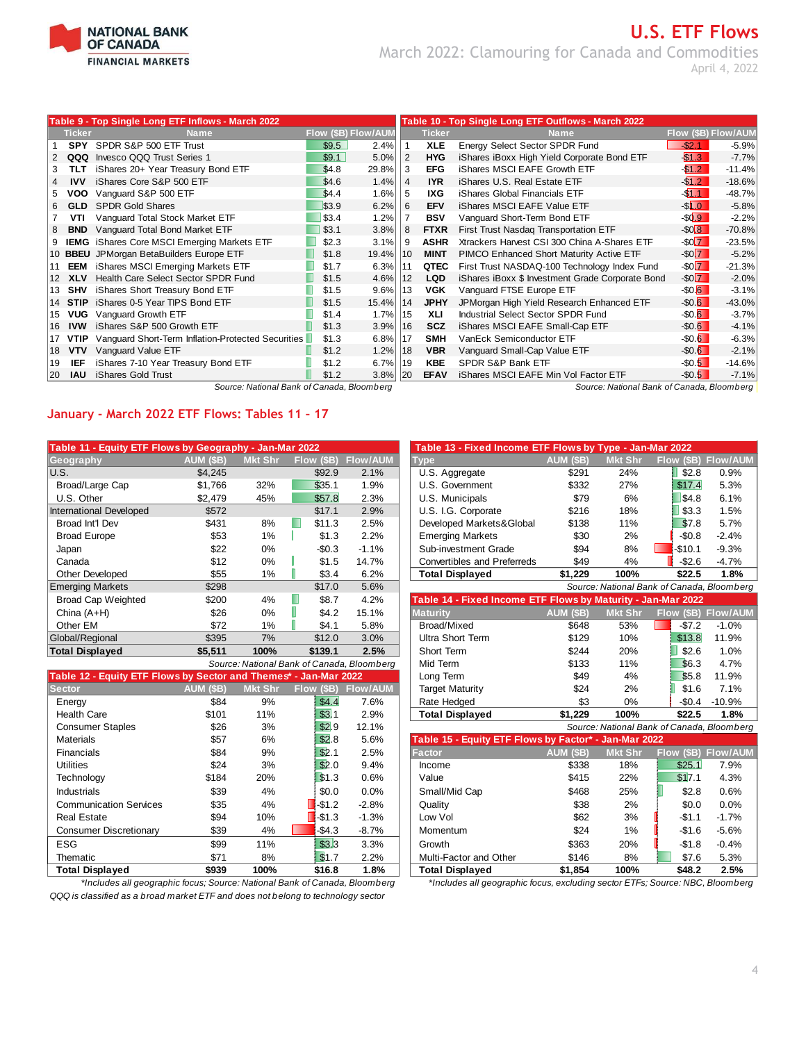

# **U.S. ETF Flows** March 2022: Clamouring for Canada and Commodities April 4, 2022

|           |               | Table 9 - Top Single Long ETF Inflows - March 2022 |                            | Table 10 - Top Single Long ETF Outflows - March 2022 |     |               |                                                  |                        |          |
|-----------|---------------|----------------------------------------------------|----------------------------|------------------------------------------------------|-----|---------------|--------------------------------------------------|------------------------|----------|
|           | <b>Ticker</b> | <b>Name</b>                                        | <b>Flow (\$B) Flow/AUN</b> |                                                      |     | <b>Ticker</b> | Name                                             | Flow (\$B) Flow/AUM    |          |
|           | <b>SPY</b>    | SPDR S&P 500 ETF Trust                             | \$9.5                      | 2.4%                                                 |     | <b>XLE</b>    | Energy Select Sector SPDR Fund                   | $-$ \$2.1              | $-5.9%$  |
|           | QQQ           | Invesco QQQ Trust Series 1                         | \$9.1                      | 5.0%                                                 | 2   | <b>HYG</b>    | iShares iBoxx High Yield Corporate Bond ETF      | \$1.3                  | $-7.7%$  |
|           | TLT           | iShares 20+ Year Treasury Bond ETF                 | \$4.8                      | 29.8%                                                | 3   | <b>EFG</b>    | iShares MSCI EAFE Growth ETF                     | $-51.2$                | $-11.4%$ |
| 4         | <b>IVV</b>    | iShares Core S&P 500 ETF                           | \$4.6                      | 1.4%                                                 | 4   | <b>IYR</b>    | iShares U.S. Real Estate ETF                     | $-1.2$                 | $-18.6%$ |
| 5.        | voo           | Vanguard S&P 500 ETF                               | \$4.4                      | 1.6%                                                 | 5   | IXG.          | iShares Global Financials ETF                    | $-$ \$1.1              | $-48.7%$ |
| 6.        | <b>GLD</b>    | <b>SPDR Gold Shares</b>                            | \$3.9                      | 6.2%                                                 | 6   | <b>EFV</b>    | <b>iShares MSCI EAFE Value ETF</b>               | $-S1.0$                | $-5.8%$  |
|           | VTI           | Vanguard Total Stock Market ETF                    | \$3.4                      | 1.2%                                                 |     | <b>BSV</b>    | Vanguard Short-Term Bond ETF                     | $-$ \$0.9              | $-2.2%$  |
| 8         | <b>BND</b>    | Vanguard Total Bond Market ETF                     | \$3.1                      | 3.8%                                                 | 8   | <b>FTXR</b>   | First Trust Nasdaq Transportation ETF            | $-S0.8$                | $-70.8%$ |
|           |               | <b>IEMG</b> iShares Core MSCI Emerging Markets ETF | \$2.3                      | 3.1%                                                 | 9   | <b>ASHR</b>   | Xtrackers Harvest CSI 300 China A-Shares ETF     | $-$ \$0 $\overline{7}$ | $-23.5%$ |
|           |               | 10 BBEU JPMorgan BetaBuilders Europe ETF           | \$1.8                      | 19.4%                                                | 10  | <b>MINT</b>   | PIMCO Enhanced Short Maturity Active ETF         | $-S0\overline{7}$      | $-5.2%$  |
| 111       | EEM           | iShares MSCI Emerging Markets ETF                  | \$1.7                      | 6.3%                                                 | 11  | QTEC          | First Trust NASDAQ-100 Technology Index Fund     | $-$ \$0 $\overline{7}$ | $-21.3%$ |
| 12        | <b>XLV</b>    | Health Care Select Sector SPDR Fund                | \$1.5                      | 4.6%                                                 | 12  | <b>LQD</b>    | iShares iBoxx \$ Investment Grade Corporate Bond | $-S0\overline{7}$      | $-2.0%$  |
| 13        | SHV           | iShares Short Treasury Bond ETF                    | \$1.5                      | 9.6%                                                 | 13  | <b>VGK</b>    | Vanguard FTSE Europe ETF                         | $-$ \$0.6              | $-3.1%$  |
| 14        | <b>STIP</b>   | iShares 0-5 Year TIPS Bond ETF                     | \$1.5                      | 15.4%                                                | 14  | <b>JPHY</b>   | JPMorgan High Yield Research Enhanced ETF        | $-$ \$0.6              | $-43.0%$ |
| 15        | <b>VUG</b>    | Vanguard Growth ETF                                | \$1.4                      | $1.7\%$   15                                         |     | XLI           | Industrial Select Sector SPDR Fund               | $-$ \$0.6              | $-3.7%$  |
| 16        | <b>IVW</b>    | iShares S&P 500 Growth ETF                         | \$1.3                      | 3.9%                                                 | 16  | <b>SCZ</b>    | iShares MSCI EAFE Small-Cap ETF                  | $-$0.6$                | $-4.1%$  |
| 17        | <b>VTIP</b>   | Vanguard Short-Term Inflation-Protected Securities | \$1.3                      | 6.8%                                                 | 17  | <b>SMH</b>    | VanEck Semiconductor ETF                         | $-50.6$                | $-6.3%$  |
| 18        | <b>VTV</b>    | Vanguard Value ETF                                 | \$1.2                      | 1.2%                                                 | 18  | <b>VBR</b>    | Vanguard Small-Cap Value ETF                     | $-50.6$                | $-2.1%$  |
| 19        | IEF           | iShares 7-10 Year Treasury Bond ETF                | \$1.2                      | 6.7%                                                 | 119 | <b>KBE</b>    | SPDR S&P Bank ETF                                | $-50.5$                | $-14.6%$ |
| <b>20</b> | <b>IAU</b>    | iShares Gold Trust                                 | \$1.2                      | 3.8%                                                 | 120 | <b>EFAV</b>   | iShares MSCI EAFE Min Vol Factor ETF             | $-50.5$                | $-7.1%$  |

*Source: National Bank of Canada, Bloomberg Source: National Bank of Canada, Bloomberg*

### **January - March 2022 ETF Flows: Tables 11 – 17**

| Table 11 - Equity ETF Flows by Geography - Jan-Mar 2022 |                  |                |            |                                            | Table 13 - Fixed Income ETF Flows by Type - Jan-Mar 2022     |                  |                |                                            |                 |
|---------------------------------------------------------|------------------|----------------|------------|--------------------------------------------|--------------------------------------------------------------|------------------|----------------|--------------------------------------------|-----------------|
| Geography                                               | <b>AUM (\$B)</b> | <b>Mkt Shr</b> | Flow (\$B) | <b>Flow/AUM</b>                            | <b>Type</b>                                                  | <b>AUM (\$B)</b> | <b>Mkt Shr</b> | (SB)<br><b>Flow</b>                        | <b>Flow/AUM</b> |
| IU.S.                                                   | \$4,245          |                | \$92.9     | 2.1%                                       | U.S. Aggregate                                               | \$291            | 24%            | \$2.8                                      | 0.9%            |
| Broad/Large Cap                                         | \$1,766          | 32%            | \$35.1     | 1.9%                                       | U.S. Government                                              | \$332            | 27%            | \$17.4                                     | 5.3%            |
| U.S. Other                                              | \$2,479          | 45%            | \$57.8     | 2.3%                                       | U.S. Municipals                                              | \$79             | 6%             | \$4.8                                      | 6.1%            |
| International Developed                                 | \$572            |                | \$17.1     | 2.9%                                       | U.S. I.G. Corporate                                          | \$216            | 18%            | \$3.3                                      | 1.5%            |
| Broad Int'l Dev                                         | \$431            | 8%             | \$11.3     | 2.5%                                       | Developed Markets&Global                                     | \$138            | 11%            | \$7.8                                      | 5.7%            |
| <b>Broad Europe</b>                                     | \$53             | 1%             | \$1.3      | 2.2%                                       | <b>Emerging Markets</b>                                      | \$30             | 2%             | $-$0.8$                                    | $-2.4%$         |
| Japan                                                   | \$22             | $0\%$          | $-$0.3$    | $-1.1%$                                    | Sub-investment Grade                                         | \$94             | 8%             | -\$10.1<br><b>CONTINUES</b>                | $-9.3%$         |
| Canada                                                  | \$12             | 0%             | \$1.5      | 14.7%                                      | Convertibles and Preferreds                                  | \$49             | 4%             | $-$2.6$                                    | $-4.7%$         |
| <b>Other Developed</b>                                  | \$55             | 1%             | \$3.4      | 6.2%                                       | <b>Total Displayed</b>                                       | \$1,229          | 100%           | \$22.5                                     | 1.8%            |
| <b>Emerging Markets</b>                                 | \$298            |                | \$17.0     | 5.6%                                       |                                                              |                  |                | Source: National Bank of Canada, Bloomberg |                 |
| <b>Broad Cap Weighted</b>                               | \$200            | 4%             | \$8.7      | 4.2%                                       | Table 14 - Fixed Income ETF Flows by Maturity - Jan-Mar 2022 |                  |                |                                            |                 |
| China $(A+H)$                                           | \$26             | $0\%$          | \$4.2      | 15.1%                                      | <b>Maturity</b>                                              | <b>AUM (\$B)</b> | <b>Mkt Shr</b> | Flow (\$B)                                 | Flow/AUM        |
| Other EM                                                | \$72             | 1%             | \$4.1      | 5.8%                                       | Broad/Mixed                                                  | \$648            | 53%            | $-$7.2$                                    | $-1.0%$         |
| Global/Regional                                         | \$395            | 7%             | \$12.0     | 3.0%                                       | Ultra Short Term                                             | \$129            | 10%            | \$13.8                                     | 11.9%           |
| <b>Total Displayed</b>                                  | \$5,511          | 100%           | \$139.1    | 2.5%                                       | Short Term                                                   | \$244            | 20%            | \$2.6                                      | 1.0%            |
|                                                         |                  |                |            | Source: National Bank of Canada, Bloomborg | Mid Tarm                                                     | <b>4133</b>      | 110/           | $R$ $R$ $R$                                | $A$ 7%          |

|                                                                  |           |                |                       | <u>ovarce. National Bank of Canada, Bloomberg</u> | 1911 - 1911 - 1911 1   | <b>v</b> 1 v                                          | .              | ພບ.ບ                                     | T.I / U  |
|------------------------------------------------------------------|-----------|----------------|-----------------------|---------------------------------------------------|------------------------|-------------------------------------------------------|----------------|------------------------------------------|----------|
| Table 12 - Equity ETF Flows by Sector and Themes* - Jan-Mar 2022 |           |                |                       |                                                   | Long Term              | \$49                                                  | 4%             | \$5.8                                    | 11.9%    |
| <b>Sector</b>                                                    | AUM (\$B) | <b>Mkt Shr</b> | Flow (\$B)            | Flow/AUM                                          | <b>Target Maturity</b> | \$24                                                  | 2%             | \$1.6                                    | 7.1%     |
| Energy                                                           | \$84      | 9%             | \$4.4                 | 7.6%                                              | Rate Hedged            | \$3                                                   | $0\%$          | $-$0.4$                                  | $-10.9%$ |
| <b>Health Care</b>                                               | \$101     | 11%            | \$3.1                 | 2.9%                                              | <b>Total Displayed</b> | \$1,229                                               | 100%           | \$22.5                                   | 1.8%     |
| <b>Consumer Staples</b>                                          | \$26      | 3%             | \$2.9                 | 12.1%                                             |                        |                                                       |                | Source: National Bank of Canada, Bloombe |          |
| <b>Materials</b>                                                 | \$57      | 6%             | \$2.8                 | 5.6%                                              |                        | Table 15 - Equity ETF Flows by Factor* - Jan-Mar 2022 |                |                                          |          |
| Financials                                                       | \$84      | 9%             | \$2.1                 | 2.5%                                              | <b>Factor</b>          | AUM (\$B)                                             | <b>Mkt Shr</b> | Flow (\$B) Flow/AU                       |          |
| <b>Utilities</b>                                                 | \$24      | 3%             | \$2.0                 | 9.4%                                              | Income                 | \$338                                                 | 18%            | \$25.1                                   | 7.9%     |
| Technology                                                       | \$184     | 20%            | \$1.3                 | 0.6%                                              | Value                  | \$415                                                 | 22%            | \$17.1                                   | 4.3%     |
| <b>Industrials</b>                                               | \$39      | 4%             | \$0.0                 | 0.0%                                              | Small/Mid Cap          | \$468                                                 | 25%            | \$2.8                                    | 0.6%     |
| <b>Communication Services</b>                                    | \$35      | 4%             | $-$ \$1.2             | $-2.8%$                                           | Quality                | \$38                                                  | 2%             | \$0.0                                    | $0.0\%$  |
| <b>Real Estate</b>                                               | \$94      | 10%            | $\blacksquare$ -\$1.3 | $-1.3%$                                           | Low Vol                | \$62                                                  | 3%             | $-$1.1$                                  | $-1.7%$  |
| <b>Consumer Discretionary</b>                                    | \$39      | 4%             | $-$4.3$               | $-8.7%$                                           | Momentum               | \$24                                                  | 1%             | $-$1.6$                                  | $-5.6%$  |
| <b>ESG</b>                                                       | \$99      | 11%            | \$3.3                 | 3.3%                                              | Growth                 | \$363                                                 | 20%            | $-$1.8$                                  | $-0.4%$  |
| Thematic                                                         | \$71      | 8%             | \$1.7                 | 2.2%                                              | Multi-Factor and Other | \$146                                                 | 8%             | \$7.6                                    | 5.3%     |
| <b>Total Displayed</b>                                           | \$939     | 100%           | \$16.8                | 1.8%                                              | <b>Total Displayed</b> | \$1.854                                               | 100%           | \$48.2                                   | 2.5%     |

*QQQ is classified as a broad market ETF and does not belong to technology sector*

| able 11 - Equity ETF Flows by Geography - Jan-Mar 2022          |           |                |                                            |                 | Table 13 - Fixed Income ETF Flows by Type - Jan-Mar 2022     |                      |                |                                            |                     |
|-----------------------------------------------------------------|-----------|----------------|--------------------------------------------|-----------------|--------------------------------------------------------------|----------------------|----------------|--------------------------------------------|---------------------|
| eography                                                        | AUM (\$B) | <b>Mkt Shr</b> | Flow (\$B)                                 | <b>Flow/AUM</b> | <b>Type</b>                                                  | AUM (\$B)            | <b>Mkt Shr</b> | Flow (\$B) Flow/AUM                        |                     |
| .S.                                                             | \$4,245   |                | \$92.9                                     | 2.1%            | U.S. Aggregate                                               | \$291                | 24%            | \$2.8                                      | 0.9%                |
| Broad/Large Cap                                                 | \$1.766   | 32%            | \$35.1                                     | 1.9%            | U.S. Government                                              | \$332                | 27%            | \$17.4                                     | 5.3%                |
| U.S. Other                                                      | \$2,479   | 45%            | \$57.8                                     | 2.3%            | U.S. Municipals                                              | \$79                 | 6%             | \$4.8                                      | 6.1%                |
| ternational Developed                                           | \$572     |                | \$17.1                                     | 2.9%            | U.S. I.G. Corporate                                          | \$216                | 18%            | \$3.3                                      | 1.5%                |
| <b>Broad Int'l Dev</b>                                          | \$431     | 8%             | \$11.3                                     | 2.5%            | Developed Markets&Global                                     | \$138                | 11%            | \$7.8                                      | 5.7%                |
| <b>Broad Europe</b>                                             | \$53      | 1%             | \$1.3                                      | 2.2%            | <b>Emerging Markets</b>                                      | \$30                 | 2%             | $-$0.8$                                    | $-2.4%$             |
| Japan                                                           | \$22      | $0\%$          | $-$0.3$                                    | $-1.1%$         | Sub-investment Grade                                         | \$94                 | 8%             | $-$10.1$                                   | $-9.3%$             |
| Canada                                                          | \$12      | 0%             | \$1.5                                      | 14.7%           | <b>Convertibles and Preferreds</b>                           | \$49                 | 4%             | $-$2.6$                                    | $-4.7%$             |
| <b>Other Developed</b>                                          | \$55      | 1%             | \$3.4                                      | 6.2%            | <b>Total Displayed</b>                                       | \$1,229              | 100%           | \$22.5                                     | 1.8%                |
| merging Markets                                                 | \$298     |                | \$17.0                                     | 5.6%            |                                                              |                      |                | Source: National Bank of Canada, Bloomberg |                     |
| <b>Broad Cap Weighted</b>                                       | \$200     | 4%             | \$8.7                                      | 4.2%            | Table 14 - Fixed Income ETF Flows by Maturity - Jan-Mar 2022 |                      |                |                                            |                     |
| China (A+H)                                                     | \$26      | 0%             | \$4.2                                      | 15.1%           | <b>Maturity</b>                                              | AUM (\$B)            | <b>Mkt Shr</b> | Flow (\$B) Flow/AUM                        |                     |
| Other EM                                                        | \$72      | 1%             | \$4.1                                      | 5.8%            | Broad/Mixed                                                  | \$648                | 53%            | $-$7.2$                                    | $-1.0%$             |
| lobal/Regional                                                  | \$395     | 7%             | \$12.0                                     | 3.0%            | <b>Ultra Short Term</b>                                      | \$129                | 10%            | \$13.8                                     | 11.9%               |
| otal Displayed                                                  | \$5,511   | 100%           | \$139.1                                    | 2.5%            | Short Term                                                   | \$244                | 20%            | \$2.6                                      | 1.0%                |
|                                                                 |           |                | Source: National Bank of Canada, Bloomberg |                 | Mid Term                                                     | \$133                | 11%            | \$6.3                                      | 4.7%                |
| able 12 - Equity ETF Flows by Sector and Themes* - Jan-Mar 2022 |           |                |                                            |                 | Long Term                                                    | \$49                 | 4%             | \$5.8                                      | 11.9%               |
| ector                                                           | AUM (\$B) | <b>Mkt Shr</b> | Flow (\$B)                                 | <b>Flow/AUM</b> | <b>Target Maturity</b>                                       | \$24                 | 2%             | \$1.6                                      | 7.1%                |
| Energy                                                          | \$84      | 9%             | \$4.4                                      | 7.6%            | Rate Hedged                                                  | \$3                  | 0%             | $-$0.4$                                    | $-10.9%$            |
| <b>Health Care</b>                                              | \$101     | 11%            | \$3.1                                      | 2.9%            | <b>Total Displayed</b>                                       | \$1,229              | 100%           | \$22.5                                     | 1.8%                |
| <b>Consumer Staples</b>                                         | \$26      | 3%             | \$2.9                                      | 12.1%           |                                                              |                      |                | Source: National Bank of Canada, Bloomberg |                     |
| Materials                                                       | \$57      | 6%             | \$2.8                                      | 5.6%            | Table 15 - Equity ETF Flows by Factor* - Jan-Mar 2022        |                      |                |                                            |                     |
| Financials                                                      | \$84      | 9%             | \$2.1                                      | 2.5%            | <b>Factor</b>                                                | <b>AUM (\$B)</b>     | <b>Mkt Shr</b> |                                            | Flow (\$B) Flow/AUM |
| Utilities                                                       | \$24      | 3%             | \$2.0                                      | 9.4%            | Income                                                       | \$338                | 18%            | \$25.1                                     | 7.9%                |
| Technology                                                      | \$184     | 20%            | \$1.3                                      | 0.6%            | Value                                                        | \$415                | 22%            | \$17.1                                     | 4.3%                |
| Industrials                                                     | \$39      | 4%             | \$0.0                                      | 0.0%            | Small/Mid Cap                                                | \$468                | 25%            | \$2.8                                      | 0.6%                |
| <b>Communication Services</b>                                   | \$35      | 4%             | $-$1.2$                                    | $-2.8%$         | Quality                                                      | \$38                 | 2%             | \$0.0                                      | 0.0%                |
| Real Estate                                                     | \$94      | 10%            | $-$1.3$                                    | $-1.3%$         | Low Vol                                                      | \$62                 | 3%             | $-$1.1$                                    | $-1.7%$             |
| <b>Consumer Discretionary</b>                                   | \$39      | 4%             | $-$4.3$                                    | $-8.7%$         | Momentum                                                     | \$24                 | 1%             | $-$1.6$                                    | $-5.6%$             |
| $-00$                                                           | $\sim$    | 1.01           | $\overline{a}$                             | 0.001           | $\sim$ $\sim$                                                | $\sum_{n=1}^{n} a_n$ | $\sim$         | $\sim$ $\sim$                              | $\sim$ $\sim$       |

**Total Displayed \$939 100% \$16.8 1.8% Total Displayed \$1,854 100% \$48.2 2.5%** *\*Includes all geographic focus, excluding sector ETFs; Source: NBC, Bloomberg*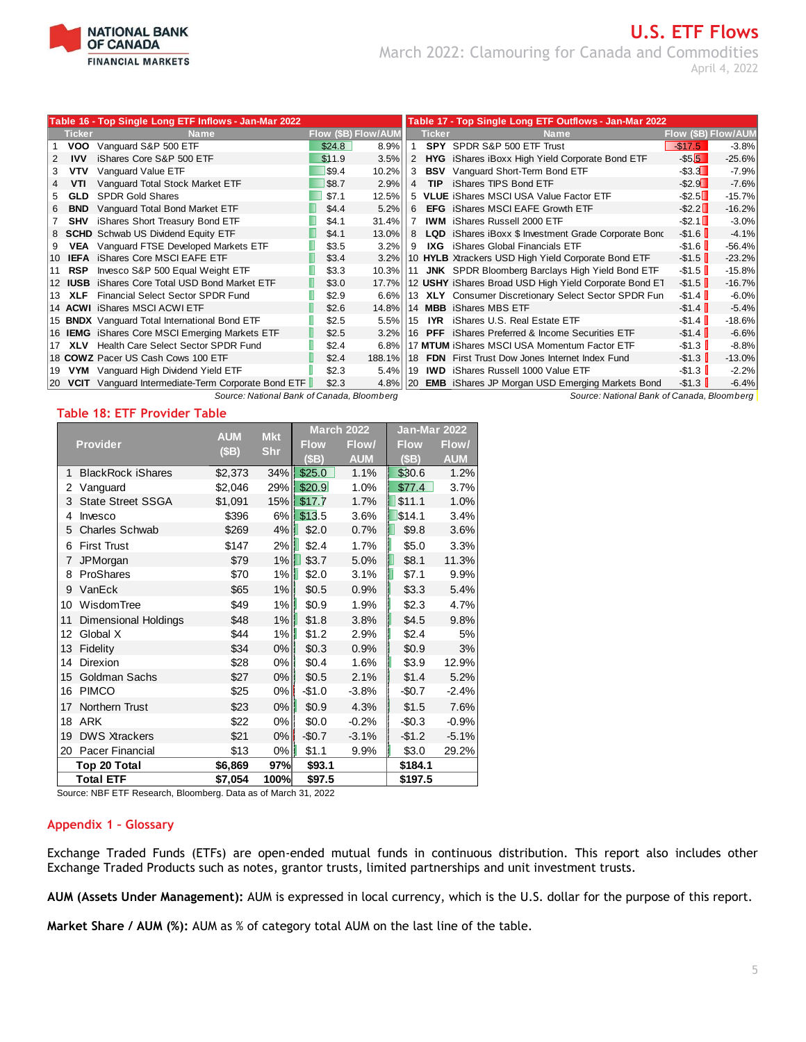

# **U.S. ETF Flows** March 2022: Clamouring for Canada and Commodities April 4, 2022

|     |               | Table 16 - Top Single Long ETF Inflows - Jan-Mar 2022 |        |                            |     |               | Table 17 - Top Single Long ETF Outflows - Jan-Mar 2022           |                          |          |
|-----|---------------|-------------------------------------------------------|--------|----------------------------|-----|---------------|------------------------------------------------------------------|--------------------------|----------|
|     | <b>Ticker</b> | <b>Name</b>                                           |        | <b>Flow (\$B) Flow/AUM</b> |     | <b>Ticker</b> | <b>Name</b>                                                      | Flow (\$B) Flow/AUM      |          |
|     | voo           | Vanguard S&P 500 ETF                                  | \$24.8 | 8.9%                       |     |               | SPY SPDR S&P 500 ETF Trust                                       | $-S17.5$                 | $-3.8%$  |
| 2   | <b>IVV</b>    | iShares Core S&P 500 ETF                              | \$11.9 | 3.5%                       | 2   |               | <b>HYG</b> iShares iBoxx High Yield Corporate Bond ETF           | $-$ \$5.5                | $-25.6%$ |
| 3   | <b>VTV</b>    | Vanguard Value ETF                                    | \$9.4  | 10.2%                      | 3   |               | <b>BSV</b> Vanguard Short-Term Bond ETF                          | $-$ \$3.3 $\blacksquare$ | $-7.9%$  |
|     | VTI           | Vanguard Total Stock Market ETF                       | \$8.7  | 2.9%                       | 4   | <b>TIP</b>    | iShares TIPS Bond ETF                                            | $-$ \$2.9 $\blacksquare$ | $-7.6%$  |
|     | <b>GLD</b>    | <b>SPDR Gold Shares</b>                               | \$7.1  | 12.5%                      |     |               | 5 VLUE iShares MSCI USA Value Factor ETF                         | $-$ \$2.5 $\Box$         | $-15.7%$ |
| 6   | <b>BND</b>    | Vanguard Total Bond Market ETF                        | \$4.4  | 5.2%                       | 6   |               | <b>EFG</b> iShares MSCI EAFE Growth ETF                          | $-$ \$2.2 $\Box$         | $-16.2%$ |
|     | <b>SHV</b>    | iShares Short Treasury Bond ETF                       | \$4.1  | 31.4%                      | 7   |               | <b>IWM</b> iShares Russell 2000 ETF                              | $-$ \$2.1                | $-3.0%$  |
|     |               | 8 SCHD Schwab US Dividend Equity ETF                  | \$4.1  | 13.0%                      | 8   |               | <b>LQD</b> iShares iBoxx \$ Investment Grade Corporate Bond      | $-$ \$1.6                | $-4.1%$  |
|     |               | <b>VEA</b> Vanguard FTSE Developed Markets ETF        | \$3.5  | 3.2%                       | 9   |               | <b>IXG</b> iShares Global Financials ETF                         | $-$ \$1.6                | $-56.4%$ |
| 10. |               | <b>IEFA</b> iShares Core MSCI EAFE ETF                | \$3.4  | 3.2%                       |     |               | 10 HYLB Xtrackers USD High Yield Corporate Bond ETF              | $-$ \$1.5                | $-23.2%$ |
|     | 11 RSP        | Invesco S&P 500 Equal Weight ETF                      | \$3.3  | 10.3%                      |     |               | 11 JNK SPDR Bloomberg Barclays High Yield Bond ETF               | $-$ \$1.5                | $-15.8%$ |
|     |               | 12 IUSB iShares Core Total USD Bond Market ETF        | \$3.0  | 17.7%                      |     |               | 12 USHY iShares Broad USD High Yield Corporate Bond ET           | $-$ \$1.5                | $-16.7%$ |
| 13. | <b>XLF</b>    | Financial Select Sector SPDR Fund                     | \$2.9  | 6.6%                       |     |               | 13 XLY Consumer Discretionary Select Sector SPDR Fun             | $-$1.4$                  | $-6.0%$  |
|     |               | 14 ACWI iShares MSCI ACWI ETF                         | \$2.6  | 14.8%                      |     |               | 14 MBB iShares MBS ETF                                           | $-$ \$1.4                | $-5.4%$  |
|     |               | 15 <b>BNDX</b> Vanguard Total International Bond ETF  | \$2.5  | 5.5%                       | 115 |               | <b>IYR</b> iShares U.S. Real Estate ETF                          | $-$ \$1.4                | $-18.6%$ |
|     |               | 16 <b>IEMG</b> iShares Core MSCI Emerging Markets ETF | \$2.5  | 3.2%                       |     |               | 16 PFF iShares Preferred & Income Securities ETF                 | $-$ \$1.4                | $-6.6%$  |
|     |               | 17 XLV Health Care Select Sector SPDR Fund            | \$2.4  | 6.8%                       |     |               | 17 MTUM iShares MSCI USA Momentum Factor ETF                     | $-$ \$1.3                | $-8.8%$  |
|     |               | 18 COWZ Pacer US Cash Cows 100 ETF                    | \$2.4  | 188.1%                     | 118 |               | <b>FDN</b> First Trust Dow Jones Internet Index Fund             | $-$ \$1.3                | $-13.0%$ |
|     |               | 19 VYM Vanguard High Dividend Yield ETF               | \$2.3  |                            |     |               | 5.4% 19 IWD iShares Russell 1000 Value ETF                       | $-$ \$1.3                | $-2.2%$  |
|     |               | 20 VCIT Vanguard Intermediate-Term Corporate Bond ETF | \$2.3  |                            |     |               | 4.8%   20 <b>EMB</b> iShares JP Morgan USD Emerging Markets Bond | $-$ \$1.3                | $-6.4%$  |
|     |               | Source: National Bank of Canada, Bloomberg            |        |                            |     |               | Source: National Bank of Canada, Bloomberg                       |                          |          |

### **Table 18: ETF Provider Table**

|                |                             | <b>AUM</b> | <b>Mkt</b> | <b>March 2022</b> |            | Jan-Mar 2022 |              |
|----------------|-----------------------------|------------|------------|-------------------|------------|--------------|--------------|
|                | <b>Provider</b>             | (SB)       | <b>Shr</b> | <b>Flow</b>       | Flow/      | <b>Flow</b>  | <b>Flow/</b> |
|                |                             |            |            | (SB)              | <b>AUM</b> | (SB)         | <b>AUM</b>   |
| 1              | <b>BlackRock iShares</b>    | \$2,373    | 34%        | \$25.0            | 1.1%       | \$30.6       | 1.2%         |
| 2              | Vanguard                    | \$2,046    | 29%        | \$20.9            | 1.0%       | \$77.4       | 3.7%         |
| 3              | <b>State Street SSGA</b>    | \$1,091    |            | 15%   \$17.7      | 1.7%       | \$11.1       | 1.0%         |
| 4              | Invesco                     | \$396      | 6%         | \$13.5            | 3.6%       | \$14.1       | 3.4%         |
| 5              | <b>Charles Schwab</b>       | \$269      | 4%         | \$2.0             | 0.7%       | \$9.8        | 3.6%         |
| 6              | <b>First Trust</b>          | \$147      | 2%         | \$2.4             | 1.7%       | \$5.0        | 3.3%         |
| $\overline{7}$ | JPMorgan                    | \$79       | 1%         | \$3.7             | 5.0%       | \$8.1        | 11.3%        |
| 8              | ProShares                   | \$70       | $1\%$      | \$2.0             | 3.1%       | \$7.1        | 9.9%         |
| 9              | VanEck                      | \$65       | 1%         | \$0.5             | 0.9%       | \$3.3        | 5.4%         |
| 10             | WisdomTree                  | \$49       | $1\%$      | \$0.9             | 1.9%       | \$2.3        | 4.7%         |
| 11             | <b>Dimensional Holdings</b> | \$48       | $1\%$      | \$1.8             | 3.8%       | \$4.5        | 9.8%         |
| 12             | Global X                    | \$44       | $1\%$      | \$1.2             | 2.9%       | \$2.4        | 5%           |
| 13             | Fidelity                    | \$34       | $0\%$      | \$0.3             | 0.9%       | \$0.9        | 3%           |
| 14             | Direxion                    | \$28       | 0%         | \$0.4             | 1.6%       | \$3.9        | 12.9%        |
| 15             | Goldman Sachs               | \$27       | $0\%$      | \$0.5             | 2.1%       | \$1.4        | 5.2%         |
| 16             | <b>PIMCO</b>                | \$25       | $0\%$      | $-$1.0$           | $-3.8%$    | $-$0.7$      | $-2.4%$      |
| 17             | Northern Trust              | \$23       | $0\%$      | \$0.9             | 4.3%       | \$1.5        | 7.6%         |
| 18             | ARK                         | \$22       | 0%         | \$0.0             | $-0.2%$    | $-$0.3$      | $-0.9%$      |
| 19             | <b>DWS Xtrackers</b>        | \$21       | 0%         | $-$0.7$           | $-3.1%$    | $-$1.2$      | $-5.1%$      |
| 20             | Pacer Financial             | \$13       | $0\%$      | \$1.1             | 9.9%       | \$3.0        | 29.2%        |
|                | Top 20 Total                | \$6,869    | 97%        | \$93.1            |            | \$184.1      |              |
|                | <b>Total ETF</b>            | \$7,054    | 100%       | \$97.5            |            | \$197.5      |              |

Source: NBF ETF Research, Bloomberg. Data as of March 31, 2022

### **Appendix 1 – Glossary**

Exchange Traded Funds (ETFs) are open-ended mutual funds in continuous distribution. This report also includes other Exchange Traded Products such as notes, grantor trusts, limited partnerships and unit investment trusts.

**AUM (Assets Under Management):** AUM is expressed in local currency, which is the U.S. dollar for the purpose of this report.

**Market Share / AUM (%):** AUM as % of category total AUM on the last line of the table.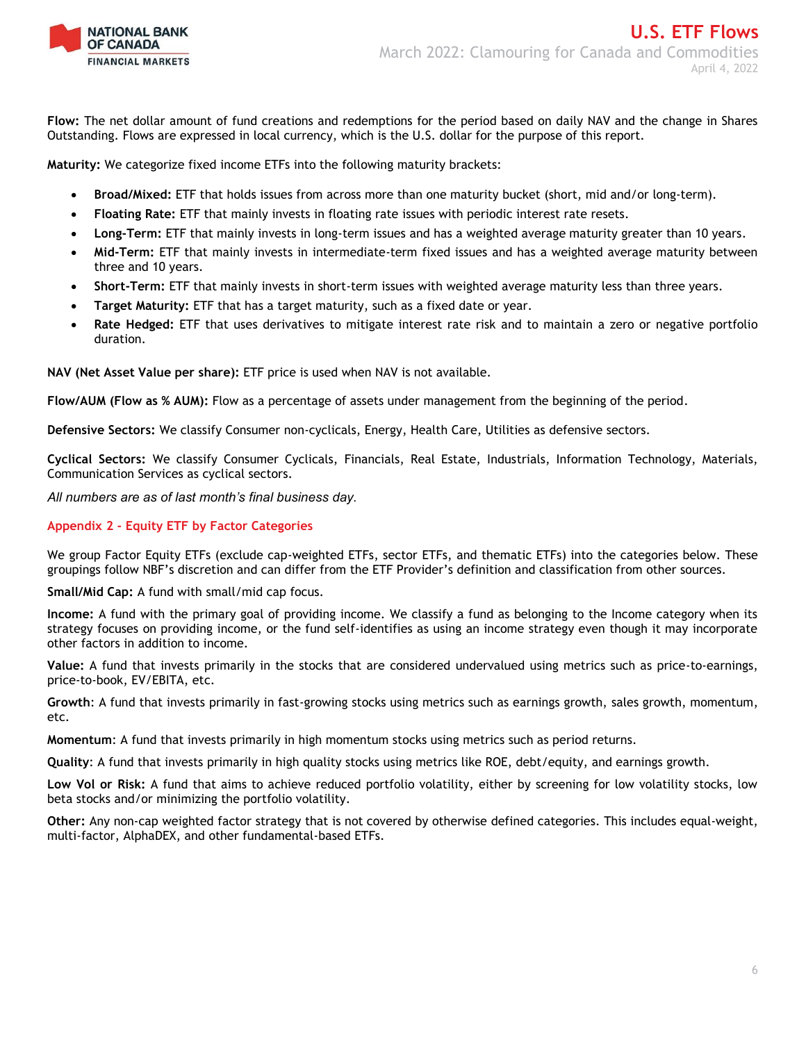

**Flow:** The net dollar amount of fund creations and redemptions for the period based on daily NAV and the change in Shares Outstanding. Flows are expressed in local currency, which is the U.S. dollar for the purpose of this report.

**Maturity:** We categorize fixed income ETFs into the following maturity brackets:

- **Broad/Mixed:** ETF that holds issues from across more than one maturity bucket (short, mid and/or long-term).
- **Floating Rate:** ETF that mainly invests in floating rate issues with periodic interest rate resets.
- **Long-Term:** ETF that mainly invests in long-term issues and has a weighted average maturity greater than 10 years.
- **Mid-Term:** ETF that mainly invests in intermediate-term fixed issues and has a weighted average maturity between three and 10 years.
- **Short-Term:** ETF that mainly invests in short-term issues with weighted average maturity less than three years.
- **Target Maturity:** ETF that has a target maturity, such as a fixed date or year.
- **Rate Hedged:** ETF that uses derivatives to mitigate interest rate risk and to maintain a zero or negative portfolio duration.

**NAV (Net Asset Value per share):** ETF price is used when NAV is not available.

**Flow/AUM (Flow as % AUM):** Flow as a percentage of assets under management from the beginning of the period.

**Defensive Sectors:** We classify Consumer non-cyclicals, Energy, Health Care, Utilities as defensive sectors.

**Cyclical Sectors:** We classify Consumer Cyclicals, Financials, Real Estate, Industrials, Information Technology, Materials, Communication Services as cyclical sectors.

*All numbers are as of last month's final business day.* 

### **Appendix 2 - Equity ETF by Factor Categories**

We group Factor Equity ETFs (exclude cap-weighted ETFs, sector ETFs, and thematic ETFs) into the categories below. These groupings follow NBF's discretion and can differ from the ETF Provider's definition and classification from other sources.

**Small/Mid Cap:** A fund with small/mid cap focus.

**Income:** A fund with the primary goal of providing income. We classify a fund as belonging to the Income category when its strategy focuses on providing income, or the fund self-identifies as using an income strategy even though it may incorporate other factors in addition to income.

**Value:** A fund that invests primarily in the stocks that are considered undervalued using metrics such as price-to-earnings, price-to-book, EV/EBITA, etc.

**Growth**: A fund that invests primarily in fast-growing stocks using metrics such as earnings growth, sales growth, momentum, etc.

**Momentum**: A fund that invests primarily in high momentum stocks using metrics such as period returns.

**Quality**: A fund that invests primarily in high quality stocks using metrics like ROE, debt/equity, and earnings growth.

**Low Vol or Risk:** A fund that aims to achieve reduced portfolio volatility, either by screening for low volatility stocks, low beta stocks and/or minimizing the portfolio volatility.

**Other:** Any non-cap weighted factor strategy that is not covered by otherwise defined categories. This includes equal-weight, multi-factor, AlphaDEX, and other fundamental-based ETFs.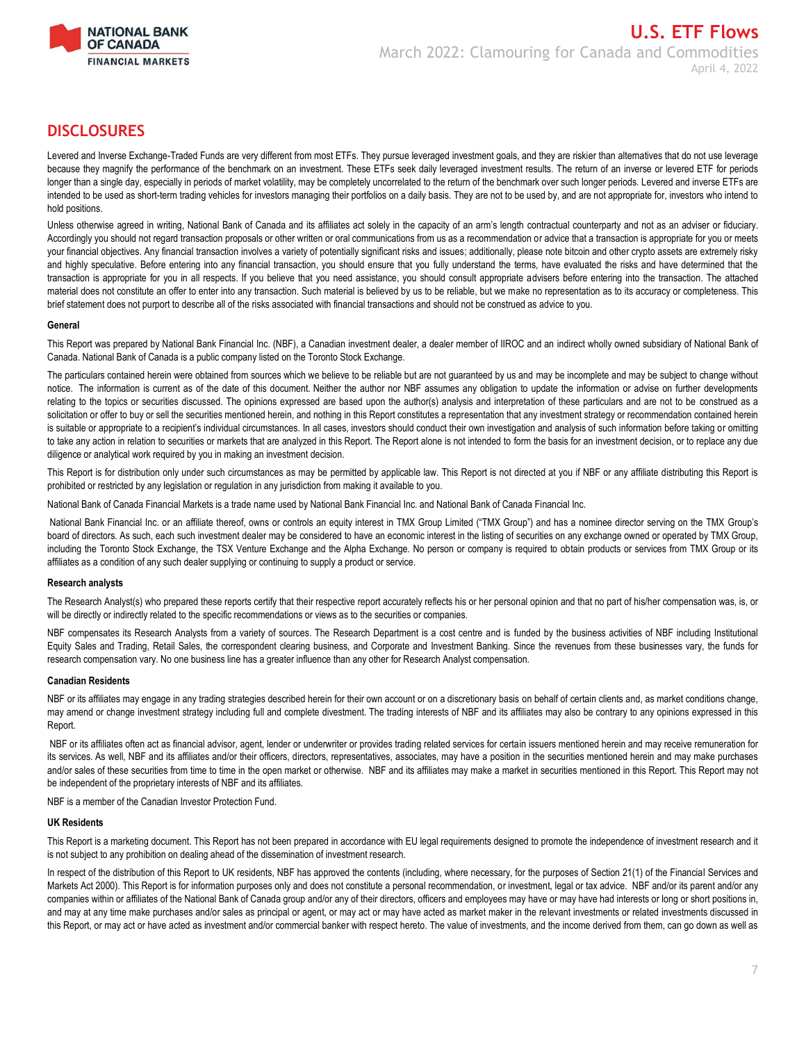

# **DISCLOSURES**

Levered and Inverse Exchange-Traded Funds are very different from most ETFs. They pursue leveraged investment goals, and they are riskier than alternatives that do not use leverage because they magnify the performance of the benchmark on an investment. These ETFs seek daily leveraged investment results. The return of an inverse or levered ETF for periods longer than a single day, especially in periods of market volatility, may be completely uncorrelated to the return of the benchmark over such longer periods. Levered and inverse ETFs are intended to be used as short-term trading vehicles for investors managing their portfolios on a daily basis. They are not to be used by, and are not appropriate for, investors who intend to hold positions.

Unless otherwise agreed in writing, National Bank of Canada and its affiliates act solely in the capacity of an arm's length contractual counterparty and not as an adviser or fiduciary. Accordingly you should not regard transaction proposals or other written or oral communications from us as a recommendation or advice that a transaction is appropriate for you or meets your financial objectives. Any financial transaction involves a variety of potentially significant risks and issues; additionally, please note bitcoin and other crypto assets are extremely risky and highly speculative. Before entering into any financial transaction, you should ensure that you fully understand the terms, have evaluated the risks and have determined that the transaction is appropriate for you in all respects. If you believe that you need assistance, you should consult appropriate advisers before entering into the transaction. The attached material does not constitute an offer to enter into any transaction. Such material is believed by us to be reliable, but we make no representation as to its accuracy or completeness. This brief statement does not purport to describe all of the risks associated with financial transactions and should not be construed as advice to you.

### **General**

This Report was prepared by National Bank Financial Inc. (NBF), a Canadian investment dealer, a dealer member of IIROC and an indirect wholly owned subsidiary of National Bank of Canada. National Bank of Canada is a public company listed on the Toronto Stock Exchange.

The particulars contained herein were obtained from sources which we believe to be reliable but are not guaranteed by us and may be incomplete and may be subject to change without notice. The information is current as of the date of this document. Neither the author nor NBF assumes any obligation to update the information or advise on further developments relating to the topics or securities discussed. The opinions expressed are based upon the author(s) analysis and interpretation of these particulars and are not to be construed as a solicitation or offer to buy or sell the securities mentioned herein, and nothing in this Report constitutes a representation that any investment strategy or recommendation contained herein is suitable or appropriate to a recipient's individual circumstances. In all cases, investors should conduct their own investigation and analysis of such information before taking or omitting to take any action in relation to securities or markets that are analyzed in this Report. The Report alone is not intended to form the basis for an investment decision, or to replace any due diligence or analytical work required by you in making an investment decision.

This Report is for distribution only under such circumstances as may be permitted by applicable law. This Report is not directed at you if NBF or any affiliate distributing this Report is prohibited or restricted by any legislation or regulation in any jurisdiction from making it available to you.

National Bank of Canada Financial Markets is a trade name used by National Bank Financial Inc. and National Bank of Canada Financial Inc.

National Bank Financial Inc. or an affiliate thereof, owns or controls an equity interest in TMX Group Limited ("TMX Group") and has a nominee director serving on the TMX Group's board of directors. As such, each such investment dealer may be considered to have an economic interest in the listing of securities on any exchange owned or operated by TMX Group, including the Toronto Stock Exchange, the TSX Venture Exchange and the Alpha Exchange. No person or company is required to obtain products or services from TMX Group or its affiliates as a condition of any such dealer supplying or continuing to supply a product or service.

### **Research analysts**

The Research Analyst(s) who prepared these reports certify that their respective report accurately reflects his or her personal opinion and that no part of his/her compensation was, is, or will be directly or indirectly related to the specific recommendations or views as to the securities or companies.

NBF compensates its Research Analysts from a variety of sources. The Research Department is a cost centre and is funded by the business activities of NBF including Institutional Equity Sales and Trading, Retail Sales, the correspondent clearing business, and Corporate and Investment Banking. Since the revenues from these businesses vary, the funds for research compensation vary. No one business line has a greater influence than any other for Research Analyst compensation.

#### **Canadian Residents**

NBF or its affiliates may engage in any trading strategies described herein for their own account or on a discretionary basis on behalf of certain clients and, as market conditions change, may amend or change investment strategy including full and complete divestment. The trading interests of NBF and its affiliates may also be contrary to any opinions expressed in this Report.

NBF or its affiliates often act as financial advisor, agent, lender or underwriter or provides trading related services for certain issuers mentioned herein and may receive remuneration for its services. As well, NBF and its affiliates and/or their officers, directors, representatives, associates, may have a position in the securities mentioned herein and may make purchases and/or sales of these securities from time to time in the open market or otherwise. NBF and its affiliates may make a market in securities mentioned in this Report. This Report may not be independent of the proprietary interests of NBF and its affiliates.

NBF is a member of the Canadian Investor Protection Fund.

#### **UK Residents**

This Report is a marketing document. This Report has not been prepared in accordance with EU legal requirements designed to promote the independence of investment research and it is not subject to any prohibition on dealing ahead of the dissemination of investment research.

In respect of the distribution of this Report to UK residents, NBF has approved the contents (including, where necessary, for the purposes of Section 21(1) of the Financial Services and Markets Act 2000). This Report is for information purposes only and does not constitute a personal recommendation, or investment, legal or tax advice. NBF and/or its parent and/or any companies within or affiliates of the National Bank of Canada group and/or any of their directors, officers and employees may have or may have had interests or long or short positions in, and may at any time make purchases and/or sales as principal or agent, or may act or may have acted as market maker in the relevant investments or related investments discussed in this Report, or may act or have acted as investment and/or commercial banker with respect hereto. The value of investments, and the income derived from them, can go down as well as